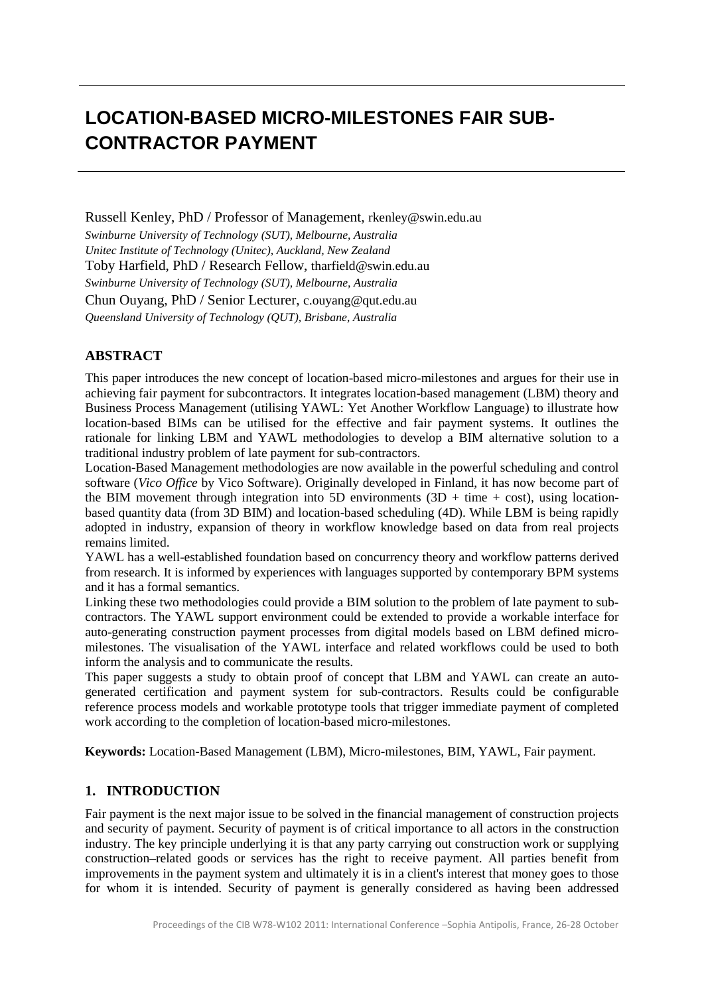# **LOCATION-BASED MICRO-MILESTONES FAIR SUB-CONTRACTOR PAYMENT**

Russell Kenley, PhD / Professor of Management, rkenley@swin.edu.au

*Swinburne University of Technology (SUT), Melbourne, Australia Unitec Institute of Technology (Unitec), Auckland, New Zealand* Toby Harfield, PhD / Research Fellow, tharfield@swin.edu.au *Swinburne University of Technology (SUT), Melbourne, Australia* Chun Ouyang, PhD / Senior Lecturer, c.ouyang@qut.edu.au *Queensland University of Technology (QUT), Brisbane, Australia*

# **ABSTRACT**

This paper introduces the new concept of location-based micro-milestones and argues for their use in achieving fair payment for subcontractors. It integrates location-based management (LBM) theory and Business Process Management (utilising YAWL: Yet Another Workflow Language) to illustrate how location-based BIMs can be utilised for the effective and fair payment systems. It outlines the rationale for linking LBM and YAWL methodologies to develop a BIM alternative solution to a traditional industry problem of late payment for sub-contractors.

Location-Based Management methodologies are now available in the powerful scheduling and control software (*Vico Office* by Vico Software). Originally developed in Finland, it has now become part of the BIM movement through integration into 5D environments  $(3D + time + cost)$ , using locationbased quantity data (from 3D BIM) and location-based scheduling (4D). While LBM is being rapidly adopted in industry, expansion of theory in workflow knowledge based on data from real projects remains limited.

YAWL has a well-established foundation based on concurrency theory and workflow patterns derived from research. It is informed by experiences with languages supported by contemporary BPM systems and it has a formal semantics.

Linking these two methodologies could provide a BIM solution to the problem of late payment to subcontractors. The YAWL support environment could be extended to provide a workable interface for auto-generating construction payment processes from digital models based on LBM defined micromilestones. The visualisation of the YAWL interface and related workflows could be used to both inform the analysis and to communicate the results.

This paper suggests a study to obtain proof of concept that LBM and YAWL can create an autogenerated certification and payment system for sub-contractors. Results could be configurable reference process models and workable prototype tools that trigger immediate payment of completed work according to the completion of location-based micro-milestones.

**Keywords:** Location-Based Management (LBM), Micro-milestones, BIM, YAWL, Fair payment.

# **1. INTRODUCTION**

Fair payment is the next major issue to be solved in the financial management of construction projects and security of payment. Security of payment is of critical importance to all actors in the construction industry. The key principle underlying it is that any party carrying out construction work or supplying construction–related goods or services has the right to receive payment. All parties benefit from improvements in the payment system and ultimately it is in a client's interest that money goes to those for whom it is intended. Security of payment is generally considered as having been addressed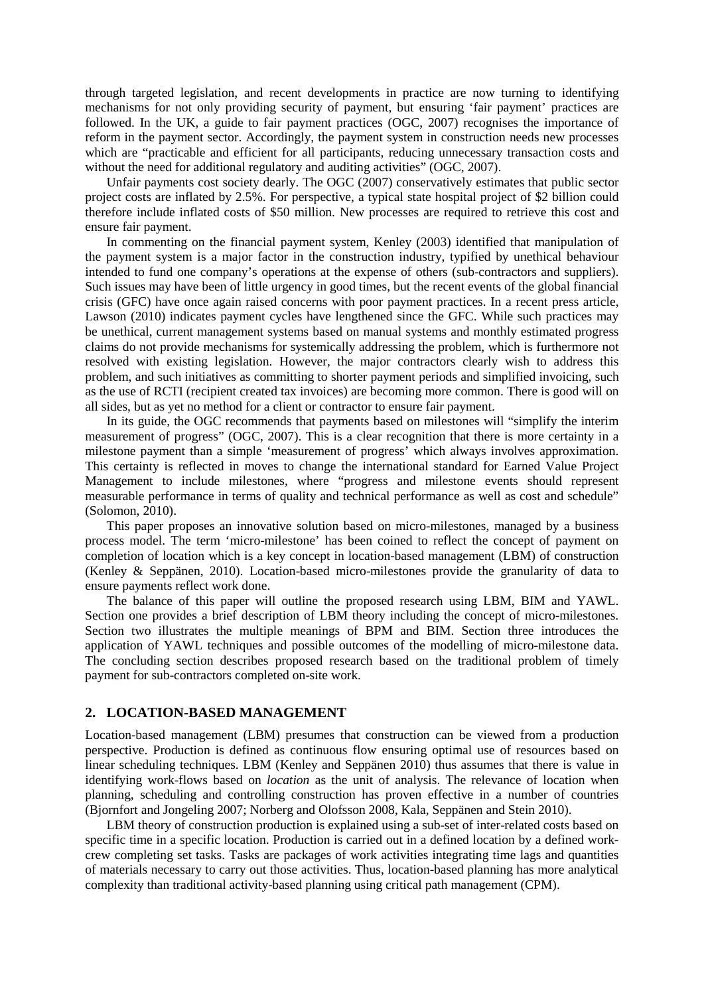through targeted legislation, and recent developments in practice are now turning to identifying mechanisms for not only providing security of payment, but ensuring 'fair payment' practices are followed. In the UK, a guide to fair payment practices (OGC, 2007) recognises the importance of reform in the payment sector. Accordingly, the payment system in construction needs new processes which are "practicable and efficient for all participants, reducing unnecessary transaction costs and without the need for additional regulatory and auditing activities" (OGC, 2007).

Unfair payments cost society dearly. The OGC (2007) conservatively estimates that public sector project costs are inflated by 2.5%. For perspective, a typical state hospital project of \$2 billion could therefore include inflated costs of \$50 million. New processes are required to retrieve this cost and ensure fair payment.

In commenting on the financial payment system, Kenley (2003) identified that manipulation of the payment system is a major factor in the construction industry, typified by unethical behaviour intended to fund one company's operations at the expense of others (sub-contractors and suppliers). Such issues may have been of little urgency in good times, but the recent events of the global financial crisis (GFC) have once again raised concerns with poor payment practices. In a recent press article, Lawson (2010) indicates payment cycles have lengthened since the GFC. While such practices may be unethical, current management systems based on manual systems and monthly estimated progress claims do not provide mechanisms for systemically addressing the problem, which is furthermore not resolved with existing legislation. However, the major contractors clearly wish to address this problem, and such initiatives as committing to shorter payment periods and simplified invoicing, such as the use of RCTI (recipient created tax invoices) are becoming more common. There is good will on all sides, but as yet no method for a client or contractor to ensure fair payment.

In its guide, the OGC recommends that payments based on milestones will "simplify the interim measurement of progress" (OGC, 2007). This is a clear recognition that there is more certainty in a milestone payment than a simple 'measurement of progress' which always involves approximation. This certainty is reflected in moves to change the international standard for Earned Value Project Management to include milestones, where "progress and milestone events should represent measurable performance in terms of quality and technical performance as well as cost and schedule" (Solomon, 2010).

This paper proposes an innovative solution based on micro-milestones, managed by a business process model. The term 'micro-milestone' has been coined to reflect the concept of payment on completion of location which is a key concept in location-based management (LBM) of construction (Kenley & Seppänen, 2010). Location-based micro-milestones provide the granularity of data to ensure payments reflect work done.

The balance of this paper will outline the proposed research using LBM, BIM and YAWL. Section one provides a brief description of LBM theory including the concept of micro-milestones. Section two illustrates the multiple meanings of BPM and BIM. Section three introduces the application of YAWL techniques and possible outcomes of the modelling of micro-milestone data. The concluding section describes proposed research based on the traditional problem of timely payment for sub-contractors completed on-site work.

### **2. LOCATION-BASED MANAGEMENT**

Location-based management (LBM) presumes that construction can be viewed from a production perspective. Production is defined as continuous flow ensuring optimal use of resources based on linear scheduling techniques. LBM (Kenley and Seppänen 2010) thus assumes that there is value in identifying work-flows based on *location* as the unit of analysis. The relevance of location when planning, scheduling and controlling construction has proven effective in a number of countries (Bjornfort and Jongeling 2007; Norberg and Olofsson 2008, Kala, Seppänen and Stein 2010).

LBM theory of construction production is explained using a sub-set of inter-related costs based on specific time in a specific location. Production is carried out in a defined location by a defined workcrew completing set tasks. Tasks are packages of work activities integrating time lags and quantities of materials necessary to carry out those activities. Thus, location-based planning has more analytical complexity than traditional activity-based planning using critical path management (CPM).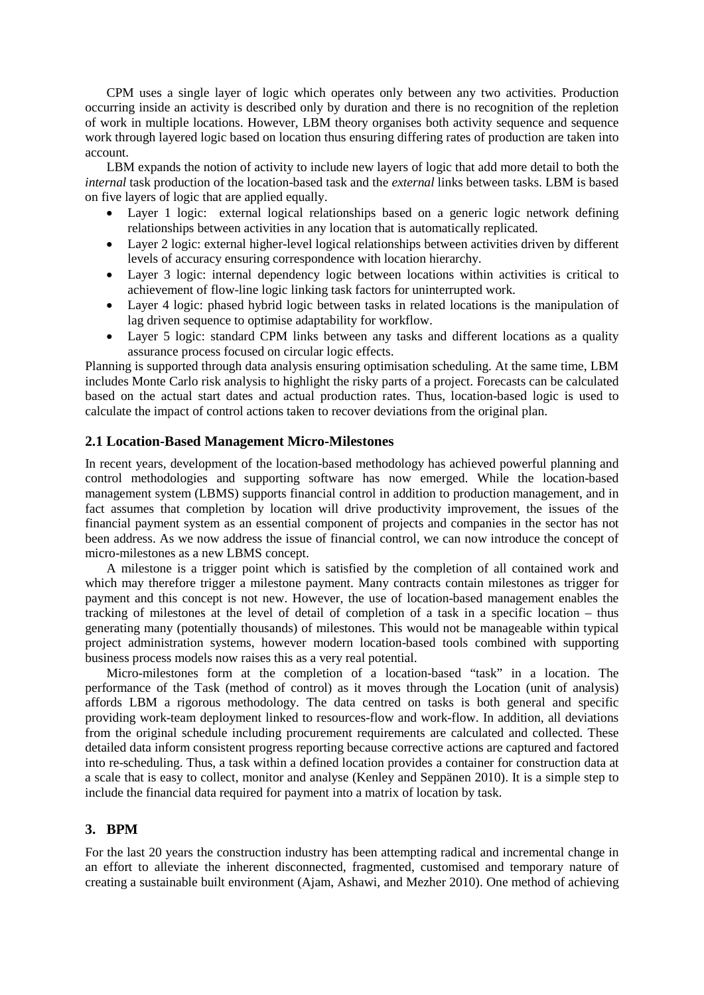CPM uses a single layer of logic which operates only between any two activities. Production occurring inside an activity is described only by duration and there is no recognition of the repletion of work in multiple locations. However, LBM theory organises both activity sequence and sequence work through layered logic based on location thus ensuring differing rates of production are taken into account.

LBM expands the notion of activity to include new layers of logic that add more detail to both the *internal* task production of the location-based task and the *external* links between tasks. LBM is based on five layers of logic that are applied equally.

- Layer 1 logic: external logical relationships based on a generic logic network defining relationships between activities in any location that is automatically replicated.
- Layer 2 logic: external higher-level logical relationships between activities driven by different levels of accuracy ensuring correspondence with location hierarchy.
- Layer 3 logic: internal dependency logic between locations within activities is critical to achievement of flow-line logic linking task factors for uninterrupted work.
- Layer 4 logic: phased hybrid logic between tasks in related locations is the manipulation of lag driven sequence to optimise adaptability for workflow.
- Layer 5 logic: standard CPM links between any tasks and different locations as a quality assurance process focused on circular logic effects.

Planning is supported through data analysis ensuring optimisation scheduling. At the same time, LBM includes Monte Carlo risk analysis to highlight the risky parts of a project. Forecasts can be calculated based on the actual start dates and actual production rates. Thus, location-based logic is used to calculate the impact of control actions taken to recover deviations from the original plan.

#### **2.1 Location-Based Management Micro-Milestones**

In recent years, development of the location-based methodology has achieved powerful planning and control methodologies and supporting software has now emerged. While the location-based management system (LBMS) supports financial control in addition to production management, and in fact assumes that completion by location will drive productivity improvement, the issues of the financial payment system as an essential component of projects and companies in the sector has not been address. As we now address the issue of financial control, we can now introduce the concept of micro-milestones as a new LBMS concept.

A milestone is a trigger point which is satisfied by the completion of all contained work and which may therefore trigger a milestone payment. Many contracts contain milestones as trigger for payment and this concept is not new. However, the use of location-based management enables the tracking of milestones at the level of detail of completion of a task in a specific location – thus generating many (potentially thousands) of milestones. This would not be manageable within typical project administration systems, however modern location-based tools combined with supporting business process models now raises this as a very real potential.

Micro-milestones form at the completion of a location-based "task" in a location. The performance of the Task (method of control) as it moves through the Location (unit of analysis) affords LBM a rigorous methodology. The data centred on tasks is both general and specific providing work-team deployment linked to resources-flow and work-flow. In addition, all deviations from the original schedule including procurement requirements are calculated and collected. These detailed data inform consistent progress reporting because corrective actions are captured and factored into re-scheduling. Thus, a task within a defined location provides a container for construction data at a scale that is easy to collect, monitor and analyse (Kenley and Seppänen 2010). It is a simple step to include the financial data required for payment into a matrix of location by task.

#### **3. BPM**

For the last 20 years the construction industry has been attempting radical and incremental change in an effort to alleviate the inherent disconnected, fragmented, customised and temporary nature of creating a sustainable built environment (Ajam, Ashawi, and Mezher 2010). One method of achieving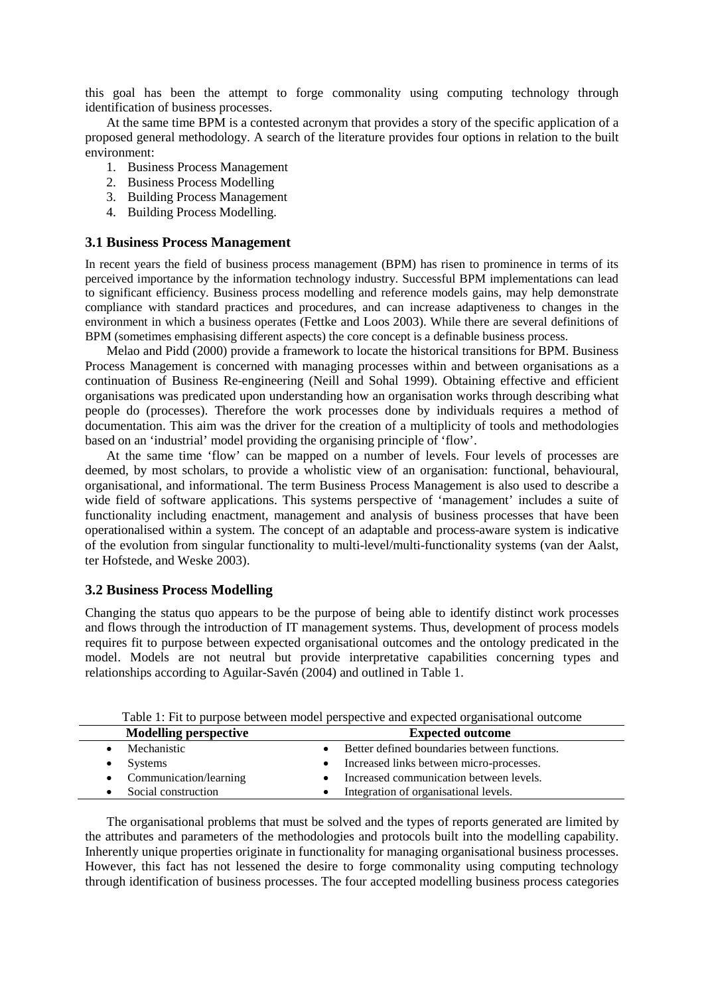this goal has been the attempt to forge commonality using computing technology through identification of business processes.

At the same time BPM is a contested acronym that provides a story of the specific application of a proposed general methodology. A search of the literature provides four options in relation to the built environment:

- 1. Business Process Management
- 2. Business Process Modelling
- 3. Building Process Management
- 4. Building Process Modelling.

### **3.1 Business Process Management**

In recent years the field of business process management (BPM) has risen to prominence in terms of its perceived importance by the information technology industry. Successful BPM implementations can lead to significant efficiency. Business process modelling and reference models gains, may help demonstrate compliance with standard practices and procedures, and can increase adaptiveness to changes in the environment in which a business operates (Fettke and Loos 2003). While there are several definitions of BPM (sometimes emphasising different aspects) the core concept is a definable business process.

Melao and Pidd (2000) provide a framework to locate the historical transitions for BPM. Business Process Management is concerned with managing processes within and between organisations as a continuation of Business Re-engineering (Neill and Sohal 1999). Obtaining effective and efficient organisations was predicated upon understanding how an organisation works through describing what people do (processes). Therefore the work processes done by individuals requires a method of documentation. This aim was the driver for the creation of a multiplicity of tools and methodologies based on an 'industrial' model providing the organising principle of 'flow'.

At the same time 'flow' can be mapped on a number of levels. Four levels of processes are deemed, by most scholars, to provide a wholistic view of an organisation: functional, behavioural, organisational, and informational. The term Business Process Management is also used to describe a wide field of software applications. This systems perspective of 'management' includes a suite of functionality including enactment, management and analysis of business processes that have been operationalised within a system. The concept of an adaptable and process-aware system is indicative of the evolution from singular functionality to multi-level/multi-functionality systems (van der Aalst, ter Hofstede, and Weske 2003).

## **3.2 Business Process Modelling**

Changing the status quo appears to be the purpose of being able to identify distinct work processes and flows through the introduction of IT management systems. Thus, development of process models requires fit to purpose between expected organisational outcomes and the ontology predicated in the model. Models are not neutral but provide interpretative capabilities concerning types and relationships according to Aguilar-Savén (2004) and outlined in Table 1.

|         | Table 1: Fit to purpose between model perspective and expected organisational outcome |
|---------|---------------------------------------------------------------------------------------|
| ------- |                                                                                       |

| <b>Modelling perspective</b> | <b>Expected outcome</b>                        |
|------------------------------|------------------------------------------------|
| Mechanistic                  | • Better defined boundaries between functions. |
| Systems                      | • Increased links between micro-processes.     |
| • Communication/learning     | • Increased communication between levels.      |
| Social construction          | Integration of organisational levels.          |
|                              |                                                |

The organisational problems that must be solved and the types of reports generated are limited by the attributes and parameters of the methodologies and protocols built into the modelling capability. Inherently unique properties originate in functionality for managing organisational business processes. However, this fact has not lessened the desire to forge commonality using computing technology through identification of business processes. The four accepted modelling business process categories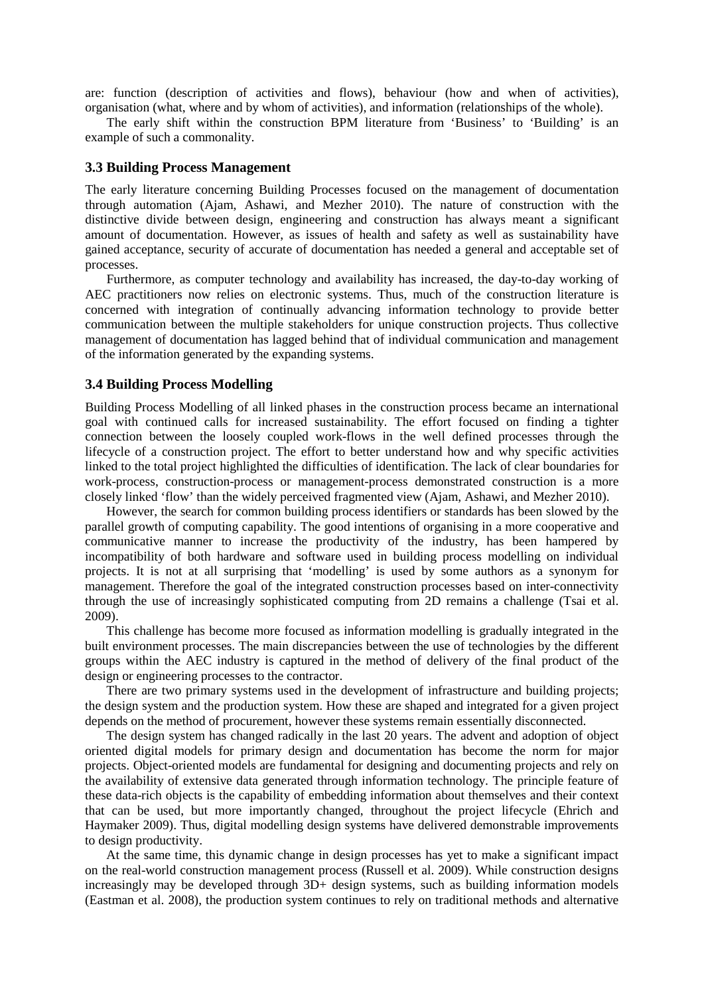are: function (description of activities and flows), behaviour (how and when of activities), organisation (what, where and by whom of activities), and information (relationships of the whole).

The early shift within the construction BPM literature from 'Business' to 'Building' is an example of such a commonality.

#### **3.3 Building Process Management**

The early literature concerning Building Processes focused on the management of documentation through automation (Ajam, Ashawi, and Mezher 2010). The nature of construction with the distinctive divide between design, engineering and construction has always meant a significant amount of documentation. However, as issues of health and safety as well as sustainability have gained acceptance, security of accurate of documentation has needed a general and acceptable set of processes.

Furthermore, as computer technology and availability has increased, the day-to-day working of AEC practitioners now relies on electronic systems. Thus, much of the construction literature is concerned with integration of continually advancing information technology to provide better communication between the multiple stakeholders for unique construction projects. Thus collective management of documentation has lagged behind that of individual communication and management of the information generated by the expanding systems.

#### **3.4 Building Process Modelling**

Building Process Modelling of all linked phases in the construction process became an international goal with continued calls for increased sustainability. The effort focused on finding a tighter connection between the loosely coupled work-flows in the well defined processes through the lifecycle of a construction project. The effort to better understand how and why specific activities linked to the total project highlighted the difficulties of identification. The lack of clear boundaries for work-process, construction-process or management-process demonstrated construction is a more closely linked 'flow' than the widely perceived fragmented view (Ajam, Ashawi, and Mezher 2010).

However, the search for common building process identifiers or standards has been slowed by the parallel growth of computing capability. The good intentions of organising in a more cooperative and communicative manner to increase the productivity of the industry, has been hampered by incompatibility of both hardware and software used in building process modelling on individual projects. It is not at all surprising that 'modelling' is used by some authors as a synonym for management. Therefore the goal of the integrated construction processes based on inter-connectivity through the use of increasingly sophisticated computing from 2D remains a challenge (Tsai et al. 2009).

This challenge has become more focused as information modelling is gradually integrated in the built environment processes. The main discrepancies between the use of technologies by the different groups within the AEC industry is captured in the method of delivery of the final product of the design or engineering processes to the contractor.

There are two primary systems used in the development of infrastructure and building projects; the design system and the production system. How these are shaped and integrated for a given project depends on the method of procurement, however these systems remain essentially disconnected.

The design system has changed radically in the last 20 years. The advent and adoption of object oriented digital models for primary design and documentation has become the norm for major projects. Object-oriented models are fundamental for designing and documenting projects and rely on the availability of extensive data generated through information technology. The principle feature of these data-rich objects is the capability of embedding information about themselves and their context that can be used, but more importantly changed, throughout the project lifecycle (Ehrich and Haymaker 2009). Thus, digital modelling design systems have delivered demonstrable improvements to design productivity.

At the same time, this dynamic change in design processes has yet to make a significant impact on the real-world construction management process (Russell et al. 2009). While construction designs increasingly may be developed through 3D+ design systems, such as building information models (Eastman et al. 2008), the production system continues to rely on traditional methods and alternative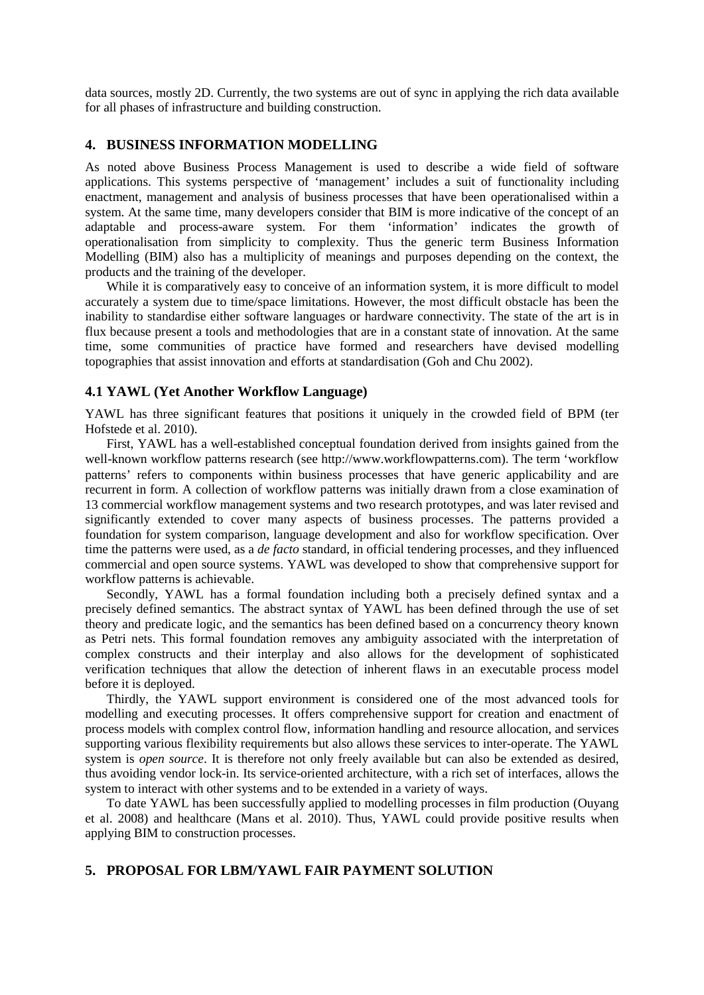data sources, mostly 2D. Currently, the two systems are out of sync in applying the rich data available for all phases of infrastructure and building construction.

## **4. BUSINESS INFORMATION MODELLING**

As noted above Business Process Management is used to describe a wide field of software applications. This systems perspective of 'management' includes a suit of functionality including enactment, management and analysis of business processes that have been operationalised within a system. At the same time, many developers consider that BIM is more indicative of the concept of an adaptable and process-aware system. For them 'information' indicates the growth of operationalisation from simplicity to complexity. Thus the generic term Business Information Modelling (BIM) also has a multiplicity of meanings and purposes depending on the context, the products and the training of the developer.

While it is comparatively easy to conceive of an information system, it is more difficult to model accurately a system due to time/space limitations. However, the most difficult obstacle has been the inability to standardise either software languages or hardware connectivity. The state of the art is in flux because present a tools and methodologies that are in a constant state of innovation. At the same time, some communities of practice have formed and researchers have devised modelling topographies that assist innovation and efforts at standardisation (Goh and Chu 2002).

#### **4.1 YAWL (Yet Another Workflow Language)**

YAWL has three significant features that positions it uniquely in the crowded field of BPM (ter Hofstede et al. 2010).

First, YAWL has a well-established conceptual foundation derived from insights gained from the well-known workflow patterns research (see http://www.workflowpatterns.com). The term 'workflow patterns' refers to components within business processes that have generic applicability and are recurrent in form. A collection of workflow patterns was initially drawn from a close examination of 13 commercial workflow management systems and two research prototypes, and was later revised and significantly extended to cover many aspects of business processes. The patterns provided a foundation for system comparison, language development and also for workflow specification. Over time the patterns were used, as a *de facto* standard, in official tendering processes, and they influenced commercial and open source systems. YAWL was developed to show that comprehensive support for workflow patterns is achievable.

Secondly, YAWL has a formal foundation including both a precisely defined syntax and a precisely defined semantics. The abstract syntax of YAWL has been defined through the use of set theory and predicate logic, and the semantics has been defined based on a concurrency theory known as Petri nets. This formal foundation removes any ambiguity associated with the interpretation of complex constructs and their interplay and also allows for the development of sophisticated verification techniques that allow the detection of inherent flaws in an executable process model before it is deployed.

Thirdly, the YAWL support environment is considered one of the most advanced tools for modelling and executing processes. It offers comprehensive support for creation and enactment of process models with complex control flow, information handling and resource allocation, and services supporting various flexibility requirements but also allows these services to inter-operate. The YAWL system is *open source*. It is therefore not only freely available but can also be extended as desired, thus avoiding vendor lock-in. Its service-oriented architecture, with a rich set of interfaces, allows the system to interact with other systems and to be extended in a variety of ways.

To date YAWL has been successfully applied to modelling processes in film production (Ouyang et al. 2008) and healthcare (Mans et al. 2010). Thus, YAWL could provide positive results when applying BIM to construction processes.

# **5. PROPOSAL FOR LBM/YAWL FAIR PAYMENT SOLUTION**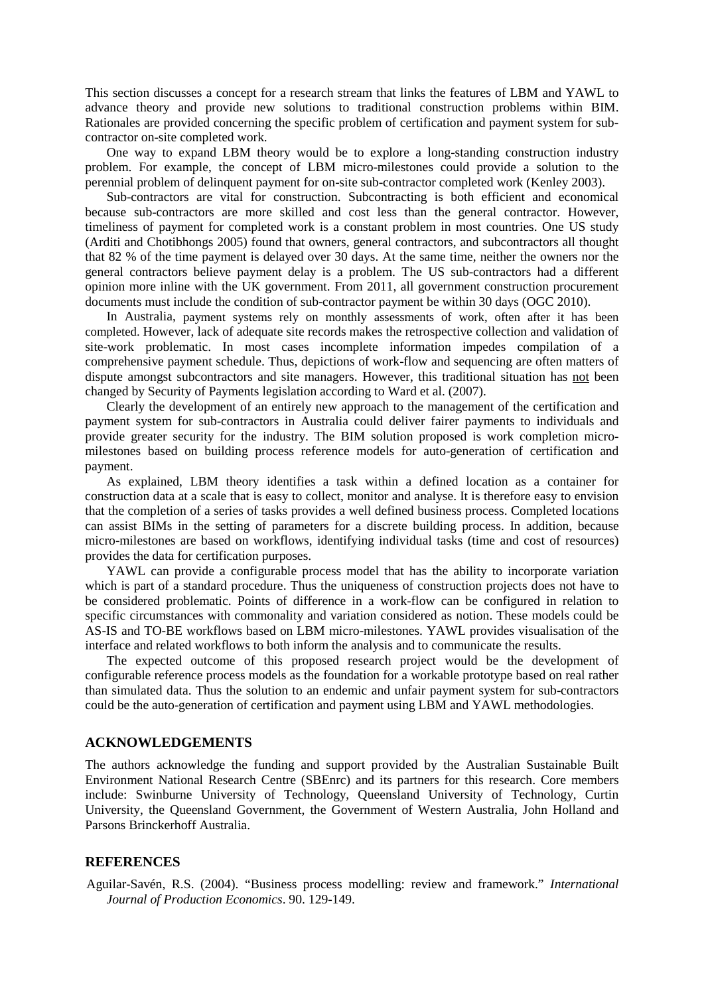This section discusses a concept for a research stream that links the features of LBM and YAWL to advance theory and provide new solutions to traditional construction problems within BIM. Rationales are provided concerning the specific problem of certification and payment system for subcontractor on-site completed work.

One way to expand LBM theory would be to explore a long-standing construction industry problem. For example, the concept of LBM micro-milestones could provide a solution to the perennial problem of delinquent payment for on-site sub-contractor completed work (Kenley 2003).

Sub-contractors are vital for construction. Subcontracting is both efficient and economical because sub-contractors are more skilled and cost less than the general contractor. However, timeliness of payment for completed work is a constant problem in most countries. One US study (Arditi and Chotibhongs 2005) found that owners, general contractors, and subcontractors all thought that 82 % of the time payment is delayed over 30 days. At the same time, neither the owners nor the general contractors believe payment delay is a problem. The US sub-contractors had a different opinion more inline with the UK government. From 2011, all government construction procurement documents must include the condition of sub-contractor payment be within 30 days (OGC 2010).

In Australia, payment systems rely on monthly assessments of work, often after it has been completed. However, lack of adequate site records makes the retrospective collection and validation of site-work problematic. In most cases incomplete information impedes compilation of a comprehensive payment schedule. Thus, depictions of work-flow and sequencing are often matters of dispute amongst subcontractors and site managers. However, this traditional situation has not been changed by Security of Payments legislation according to Ward et al. (2007).

Clearly the development of an entirely new approach to the management of the certification and payment system for sub-contractors in Australia could deliver fairer payments to individuals and provide greater security for the industry. The BIM solution proposed is work completion micromilestones based on building process reference models for auto-generation of certification and payment.

As explained, LBM theory identifies a task within a defined location as a container for construction data at a scale that is easy to collect, monitor and analyse. It is therefore easy to envision that the completion of a series of tasks provides a well defined business process. Completed locations can assist BIMs in the setting of parameters for a discrete building process. In addition, because micro-milestones are based on workflows, identifying individual tasks (time and cost of resources) provides the data for certification purposes.

YAWL can provide a configurable process model that has the ability to incorporate variation which is part of a standard procedure. Thus the uniqueness of construction projects does not have to be considered problematic. Points of difference in a work-flow can be configured in relation to specific circumstances with commonality and variation considered as notion. These models could be AS-IS and TO-BE workflows based on LBM micro-milestones. YAWL provides visualisation of the interface and related workflows to both inform the analysis and to communicate the results.

The expected outcome of this proposed research project would be the development of configurable reference process models as the foundation for a workable prototype based on real rather than simulated data. Thus the solution to an endemic and unfair payment system for sub-contractors could be the auto-generation of certification and payment using LBM and YAWL methodologies.

# **ACKNOWLEDGEMENTS**

The authors acknowledge the funding and support provided by the Australian Sustainable Built Environment National Research Centre (SBEnrc) and its partners for this research. Core members include: Swinburne University of Technology, Queensland University of Technology, Curtin University, the Queensland Government, the Government of Western Australia, John Holland and Parsons Brinckerhoff Australia.

#### **REFERENCES**

Aguilar-Savén, R.S. (2004). "Business process modelling: review and framework." *International Journal of Production Economics*. 90. 129-149.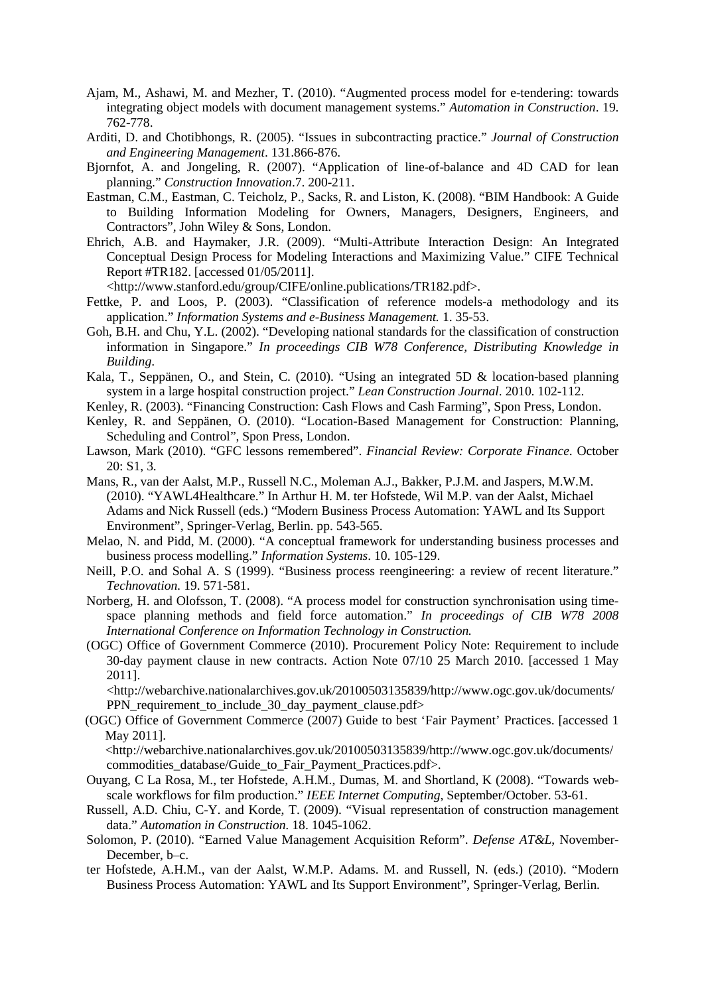- Ajam, M., Ashawi, M. and Mezher, T. (2010). "Augmented process model for e-tendering: towards integrating object models with document management systems." *Automation in Construction*. 19. 762-778.
- Arditi, D. and Chotibhongs, R. (2005). "Issues in subcontracting practice." *Journal of Construction and Engineering Management*. 131.866-876.
- Bjornfot, A. and Jongeling, R. (2007). "Application of line-of-balance and 4D CAD for lean planning." *Construction Innovation*.7. 200-211.
- Eastman, C.M., Eastman, C. Teicholz, P., Sacks, R. and Liston, K. (2008). "BIM Handbook: A Guide to Building Information Modeling for Owners, Managers, Designers, Engineers, and Contractors", John Wiley & Sons, London.
- Ehrich, A.B. and Haymaker, J.R. (2009). "Multi-Attribute Interaction Design: An Integrated Conceptual Design Process for Modeling Interactions and Maximizing Value." CIFE Technical Report #TR182. [accessed 01/05/2011].

<http://www.stanford.edu/group/CIFE/online.publications/TR182.pdf>.

- Fettke, P. and Loos, P. (2003). "Classification of reference models-a methodology and its application." *Information Systems and e-Business Management.* 1. 35-53.
- Goh, B.H. and Chu, Y.L. (2002). "Developing national standards for the classification of construction information in Singapore." *In proceedings CIB W78 Conference, Distributing Knowledge in Building*.
- Kala, T., Seppänen, O., and Stein, C. (2010). "Using an integrated 5D & location-based planning system in a large hospital construction project." *Lean Construction Journal*. 2010. 102-112.
- Kenley, R. (2003). "Financing Construction: Cash Flows and Cash Farming", Spon Press, London.
- Kenley, R. and Seppänen, O. (2010). "Location-Based Management for Construction: Planning, Scheduling and Control", Spon Press, London.
- Lawson, Mark (2010). "GFC lessons remembered". *Financial Review: Corporate Finance*. October 20: S1, 3.
- Mans, R., van der Aalst, M.P., Russell N.C., Moleman A.J., Bakker, P.J.M. and Jaspers, M.W.M. (2010). "YAWL4Healthcare." In Arthur H. M. ter Hofstede, Wil M.P. van der Aalst, Michael Adams and Nick Russell (eds.) "Modern Business Process Automation: YAWL and Its Support Environment", Springer-Verlag, Berlin. pp. 543-565.
- Melao, N. and Pidd, M. (2000). "A conceptual framework for understanding business processes and business process modelling." *Information Systems*. 10. 105-129.
- Neill, P.O. and Sohal A. S (1999). "Business process reengineering: a review of recent literature." *Technovation.* 19. 571-581.
- Norberg, H. and Olofsson, T. (2008). "A process model for construction synchronisation using timespace planning methods and field force automation." *In proceedings of CIB W78 2008 International Conference on Information Technology in Construction.*
- (OGC) Office of Government Commerce (2010). Procurement Policy Note: Requirement to include 30-day payment clause in new contracts. Action Note 07/10 25 March 2010. [accessed 1 May 2011].

<http://webarchive.nationalarchives.gov.uk/20100503135839/http://www.ogc.gov.uk/documents/ PPN requirement to include 30 day payment clause.pdf>

(OGC) Office of Government Commerce (2007) Guide to best 'Fair Payment' Practices. [accessed 1 May 2011].

<http://webarchive.nationalarchives.gov.uk/20100503135839/http://www.ogc.gov.uk/documents/ commodities\_database/Guide\_to\_Fair\_Payment\_Practices.pdf>.

- Ouyang, C La Rosa, M., ter Hofstede, A.H.M., Dumas, M. and Shortland, K (2008). "Towards webscale workflows for film production." *IEEE Internet Computing*, September/October. 53-61.
- Russell, A.D. Chiu, C-Y. and Korde, T. (2009). "Visual representation of construction management data." *Automation in Construction.* 18. 1045-1062.
- Solomon, P. (2010). "Earned Value Management Acquisition Reform". *Defense AT&L*, November-December, b–c.
- ter Hofstede, A.H.M., van der Aalst, W.M.P. Adams. M. and Russell, N. (eds.) (2010). "Modern Business Process Automation: YAWL and Its Support Environment", Springer-Verlag, Berlin.